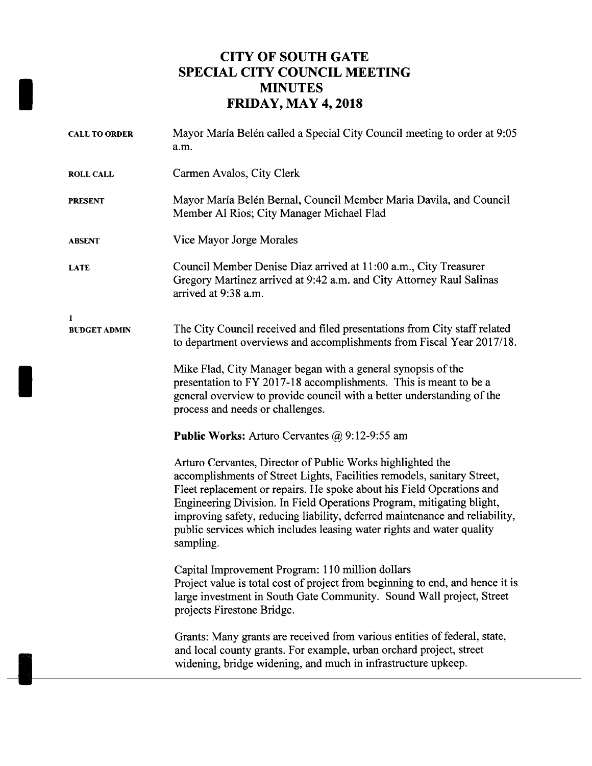## CITY OF SOUTH GATE SPECIAL CITY COUNCIL MEETING MINUTES FRIDAY, MAY 4, 2018

| <b>CALL TO ORDER</b>     | Mayor María Belén called a Special City Council meeting to order at 9:05<br>a.m.                                                                                                                                                                                                                                                                                                                                                                             |
|--------------------------|--------------------------------------------------------------------------------------------------------------------------------------------------------------------------------------------------------------------------------------------------------------------------------------------------------------------------------------------------------------------------------------------------------------------------------------------------------------|
| <b>ROLL CALL</b>         | Carmen Avalos, City Clerk                                                                                                                                                                                                                                                                                                                                                                                                                                    |
| <b>PRESENT</b>           | Mayor María Belén Bernal, Council Member Maria Davila, and Council<br>Member Al Rios; City Manager Michael Flad                                                                                                                                                                                                                                                                                                                                              |
| <b>ABSENT</b>            | Vice Mayor Jorge Morales                                                                                                                                                                                                                                                                                                                                                                                                                                     |
| LATE                     | Council Member Denise Diaz arrived at 11:00 a.m., City Treasurer<br>Gregory Martinez arrived at 9:42 a.m. and City Attorney Raul Salinas<br>arrived at 9:38 a.m.                                                                                                                                                                                                                                                                                             |
| 1<br><b>BUDGET ADMIN</b> | The City Council received and filed presentations from City staff related<br>to department overviews and accomplishments from Fiscal Year 2017/18.                                                                                                                                                                                                                                                                                                           |
|                          | Mike Flad, City Manager began with a general synopsis of the<br>presentation to FY 2017-18 accomplishments. This is meant to be a<br>general overview to provide council with a better understanding of the<br>process and needs or challenges.                                                                                                                                                                                                              |
|                          | Public Works: Arturo Cervantes @ 9:12-9:55 am                                                                                                                                                                                                                                                                                                                                                                                                                |
|                          | Arturo Cervantes, Director of Public Works highlighted the<br>accomplishments of Street Lights, Facilities remodels, sanitary Street,<br>Fleet replacement or repairs. He spoke about his Field Operations and<br>Engineering Division. In Field Operations Program, mitigating blight,<br>improving safety, reducing liability, deferred maintenance and reliability,<br>public services which includes leasing water rights and water quality<br>sampling. |
|                          | Capital Improvement Program: 110 million dollars<br>Project value is total cost of project from beginning to end, and hence it is<br>large investment in South Gate Community. Sound Wall project, Street<br>projects Firestone Bridge.                                                                                                                                                                                                                      |
|                          | Grants: Many grants are received from various entities of federal, state,<br>and local county grants. For example, urban orchard project, street<br>widening, bridge widening, and much in infrastructure upkeep.                                                                                                                                                                                                                                            |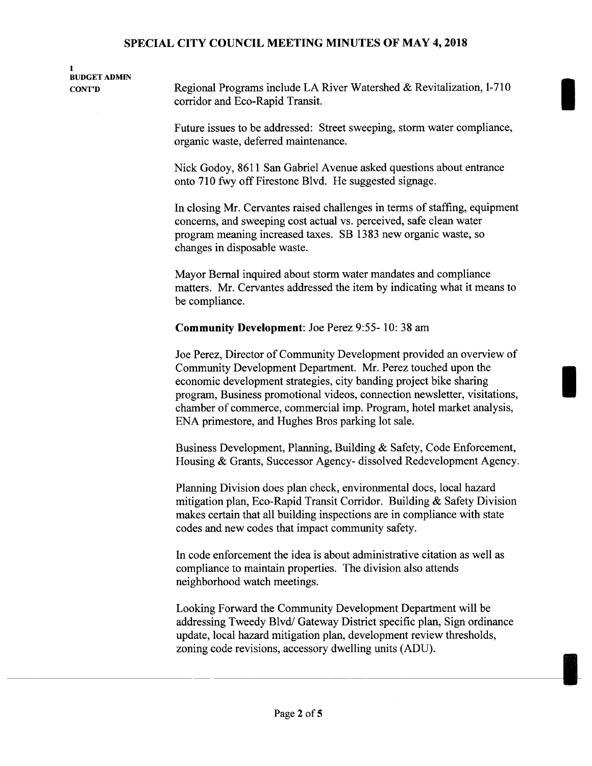# 1 BUDGET ADMIN

CONT'D Regional Programs include LA River Watershed & Revitalization, 1-710 corridor and Eco-Rapid Transit.

> Future issues to be addressed: Street sweeping, storm water compliance, organic waste, deferred maintenance.

Nick Godoy, 8611 San Gabriel Avenue asked questions about entrance onto 710 fwy off Firestone Blvd. He suggested signage.

In closing Mr. Cervantes raised challenges in terms of staffing, equipment concerns, and sweeping cost actual vs. perceived, safe clean water program meaning increased taxes. SB 1383 new organic waste, so changes in disposable waste.

Mayor Bernal inquired about storm water mandates and compliance matters. Mr. Cervantes addressed the item by indicating what it means to be compliance.

Community Development: Joe Perez 9:55- 10: 38 am

Joe Perez, Director of Community Development provided an overview of Community Development Department. Mr. Perez touched upon the economic development strategies, city banding project bike sharing program, Business promotional videos, connection newsletter, visitations, chamber of commerce, commercial imp. Program, hotel market analysis, ENA primestore, and Hughes Bros parking lot sale.

Business Development, Planning, Building & Safety, Code Enforcement, Housing & Grants, Successor Agency- dissolved Redevelopment Agency.

Planning Division does plan check, environmental docs, local hazard mitigation plan, Eco-Rapid Transit Corridor. Building & Safety Division makes certain that all building inspections are in compliance with state codes and new codes that impact community safety.

In code enforcement the idea is about administrative citation as well as compliance to maintain properties. The division also attends neighborhood watch meetings.

Looking Forward the Community Development Department will be addressing Tweedy Blvd/ Gateway District specific plan, Sign ordinance update, local hazard mitigation plan, development review thresholds, zoning code revisions, accessory dwelling units (ADU).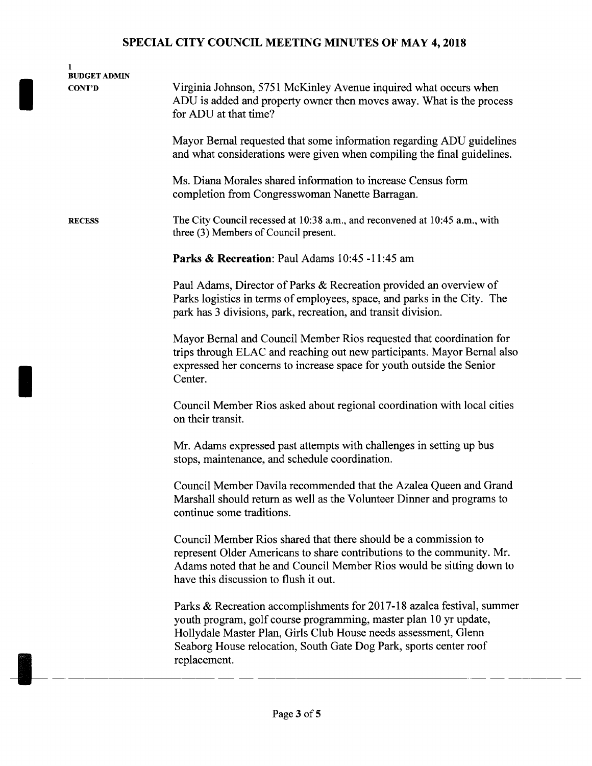| 1<br><b>BUDGET ADMIN</b><br><b>CONT'D</b> | Virginia Johnson, 5751 McKinley Avenue inquired what occurs when<br>ADU is added and property owner then moves away. What is the process<br>for ADU at that time?                                                                                                                                   |
|-------------------------------------------|-----------------------------------------------------------------------------------------------------------------------------------------------------------------------------------------------------------------------------------------------------------------------------------------------------|
|                                           | Mayor Bernal requested that some information regarding ADU guidelines<br>and what considerations were given when compiling the final guidelines.                                                                                                                                                    |
|                                           | Ms. Diana Morales shared information to increase Census form<br>completion from Congresswoman Nanette Barragan.                                                                                                                                                                                     |
| <b>RECESS</b>                             | The City Council recessed at 10:38 a.m., and reconvened at 10:45 a.m., with<br>three (3) Members of Council present.                                                                                                                                                                                |
|                                           | Parks & Recreation: Paul Adams 10:45 -11:45 am                                                                                                                                                                                                                                                      |
|                                           | Paul Adams, Director of Parks & Recreation provided an overview of<br>Parks logistics in terms of employees, space, and parks in the City. The<br>park has 3 divisions, park, recreation, and transit division.                                                                                     |
|                                           | Mayor Bernal and Council Member Rios requested that coordination for<br>trips through ELAC and reaching out new participants. Mayor Bernal also<br>expressed her concerns to increase space for youth outside the Senior<br>Center.                                                                 |
|                                           | Council Member Rios asked about regional coordination with local cities<br>on their transit.                                                                                                                                                                                                        |
|                                           | Mr. Adams expressed past attempts with challenges in setting up bus<br>stops, maintenance, and schedule coordination.                                                                                                                                                                               |
|                                           | Council Member Davila recommended that the Azalea Queen and Grand<br>Marshall should return as well as the Volunteer Dinner and programs to<br>continue some traditions.                                                                                                                            |
|                                           | Council Member Rios shared that there should be a commission to<br>represent Older Americans to share contributions to the community. Mr.<br>Adams noted that he and Council Member Rios would be sitting down to<br>have this discussion to flush it out.                                          |
|                                           | Parks & Recreation accomplishments for 2017-18 azalea festival, summer<br>youth program, golf course programming, master plan 10 yr update,<br>Hollydale Master Plan, Girls Club House needs assessment, Glenn<br>Seaborg House relocation, South Gate Dog Park, sports center roof<br>replacement. |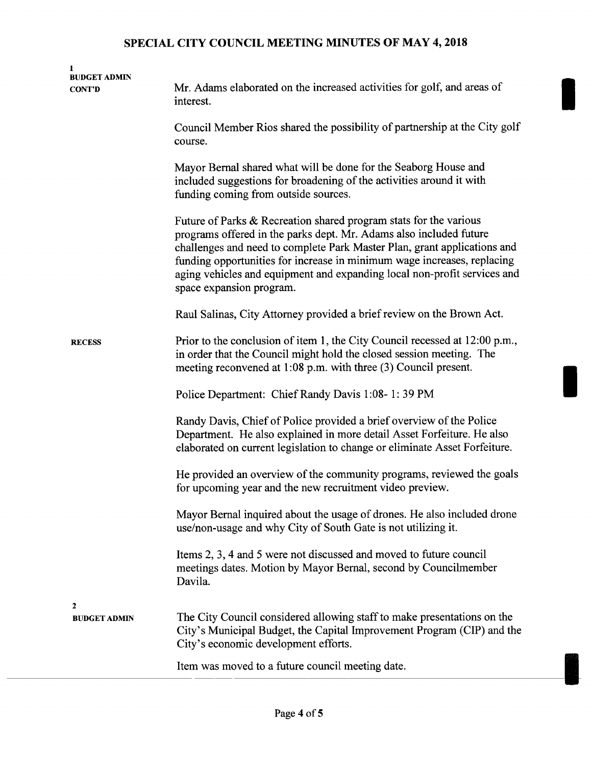| 1<br><b>BUDGET ADMIN</b><br><b>CONT'D</b> | Mr. Adams elaborated on the increased activities for golf, and areas of<br>interest.                                                                                                                                                                                                                                                                                                                   |
|-------------------------------------------|--------------------------------------------------------------------------------------------------------------------------------------------------------------------------------------------------------------------------------------------------------------------------------------------------------------------------------------------------------------------------------------------------------|
|                                           | Council Member Rios shared the possibility of partnership at the City golf<br>course.                                                                                                                                                                                                                                                                                                                  |
|                                           | Mayor Bernal shared what will be done for the Seaborg House and<br>included suggestions for broadening of the activities around it with<br>funding coming from outside sources.                                                                                                                                                                                                                        |
|                                           | Future of Parks & Recreation shared program stats for the various<br>programs offered in the parks dept. Mr. Adams also included future<br>challenges and need to complete Park Master Plan, grant applications and<br>funding opportunities for increase in minimum wage increases, replacing<br>aging vehicles and equipment and expanding local non-profit services and<br>space expansion program. |
|                                           | Raul Salinas, City Attorney provided a brief review on the Brown Act.                                                                                                                                                                                                                                                                                                                                  |
| <b>RECESS</b>                             | Prior to the conclusion of item 1, the City Council recessed at 12:00 p.m.,<br>in order that the Council might hold the closed session meeting. The<br>meeting reconvened at $1:08$ p.m. with three $(3)$ Council present.                                                                                                                                                                             |
|                                           | Police Department: Chief Randy Davis 1:08-1:39 PM                                                                                                                                                                                                                                                                                                                                                      |
|                                           | Randy Davis, Chief of Police provided a brief overview of the Police<br>Department. He also explained in more detail Asset Forfeiture. He also<br>elaborated on current legislation to change or eliminate Asset Forfeiture.                                                                                                                                                                           |
|                                           | He provided an overview of the community programs, reviewed the goals<br>for upcoming year and the new recruitment video preview.                                                                                                                                                                                                                                                                      |
|                                           | Mayor Bernal inquired about the usage of drones. He also included drone<br>use/non-usage and why City of South Gate is not utilizing it.                                                                                                                                                                                                                                                               |
|                                           | Items 2, 3, 4 and 5 were not discussed and moved to future council<br>meetings dates. Motion by Mayor Bernal, second by Councilmember<br>Davila.                                                                                                                                                                                                                                                       |
| $\mathbf{2}$<br><b>BUDGET ADMIN</b>       | The City Council considered allowing staff to make presentations on the<br>City's Municipal Budget, the Capital Improvement Program (CIP) and the<br>City's economic development efforts.                                                                                                                                                                                                              |
|                                           | Item was moved to a future council meeting date.                                                                                                                                                                                                                                                                                                                                                       |